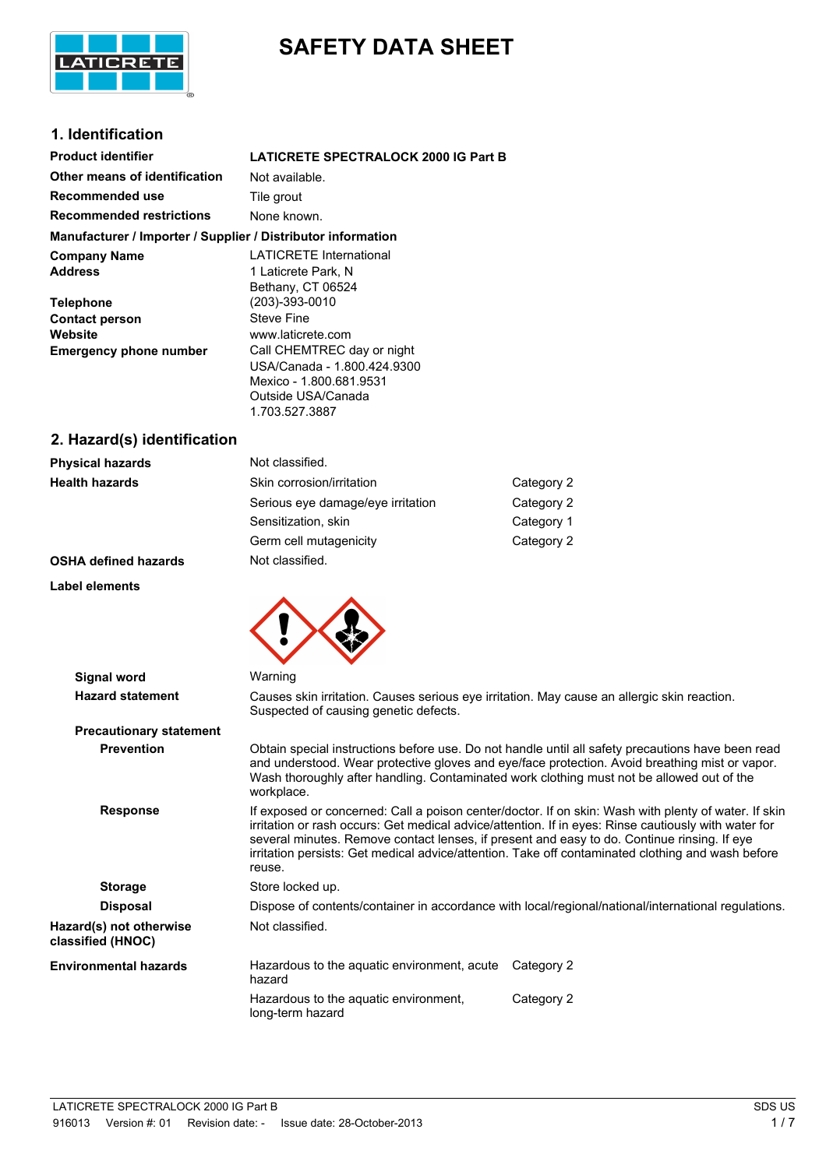

# **SAFETY DATA SHEET**

# **1. Identification**

| <b>Product identifier</b>                                    | <b>LATICRETE SPECTRALOCK 2000 IG Part B</b> |
|--------------------------------------------------------------|---------------------------------------------|
| Other means of identification                                | Not available.                              |
| Recommended use                                              | Tile grout                                  |
| <b>Recommended restrictions</b>                              | None known.                                 |
| Manufacturer / Importer / Supplier / Distributor information |                                             |
| <b>Company Name</b>                                          | <b>LATICRETE International</b>              |
| <b>Address</b>                                               | 1 Laticrete Park, N                         |
|                                                              | Bethany, CT 06524                           |
| <b>Telephone</b>                                             | $(203) - 393 - 0010$                        |
| <b>Contact person</b>                                        | Steve Fine                                  |
| Website                                                      | www.laticrete.com                           |
| <b>Emergency phone number</b>                                | Call CHEMTREC day or night                  |
|                                                              | USA/Canada - 1.800.424.9300                 |
|                                                              | Mexico - 1.800.681.9531                     |
|                                                              | Outside USA/Canada                          |
|                                                              | 1.703.527.3887                              |

# **2. Hazard(s) identification**

| <b>Physical hazards</b>     | Not classified.                   |            |
|-----------------------------|-----------------------------------|------------|
| <b>Health hazards</b>       | Skin corrosion/irritation         | Category 2 |
|                             | Serious eye damage/eye irritation | Category 2 |
|                             | Sensitization, skin               | Category 1 |
|                             | Germ cell mutagenicity            | Category 2 |
| <b>OSHA defined hazards</b> | Not classified.                   |            |

# **OSHA defined haza**

# **Label elements**



| Signal word                                  | Warning                                                                                                                                                                                                                                                                                                                                                                                                                    |  |  |
|----------------------------------------------|----------------------------------------------------------------------------------------------------------------------------------------------------------------------------------------------------------------------------------------------------------------------------------------------------------------------------------------------------------------------------------------------------------------------------|--|--|
| <b>Hazard statement</b>                      | Causes skin irritation. Causes serious eye irritation. May cause an allergic skin reaction.<br>Suspected of causing genetic defects.                                                                                                                                                                                                                                                                                       |  |  |
| <b>Precautionary statement</b>               |                                                                                                                                                                                                                                                                                                                                                                                                                            |  |  |
| <b>Prevention</b>                            | Obtain special instructions before use. Do not handle until all safety precautions have been read<br>and understood. Wear protective gloves and eye/face protection. Avoid breathing mist or vapor.<br>Wash thoroughly after handling. Contaminated work clothing must not be allowed out of the<br>workplace.                                                                                                             |  |  |
| <b>Response</b>                              | If exposed or concerned: Call a poison center/doctor. If on skin: Wash with plenty of water. If skin<br>irritation or rash occurs: Get medical advice/attention. If in eyes: Rinse cautiously with water for<br>several minutes. Remove contact lenses, if present and easy to do. Continue rinsing. If eye<br>irritation persists: Get medical advice/attention. Take off contaminated clothing and wash before<br>reuse. |  |  |
| <b>Storage</b>                               | Store locked up.                                                                                                                                                                                                                                                                                                                                                                                                           |  |  |
| <b>Disposal</b>                              | Dispose of contents/container in accordance with local/regional/national/international regulations.                                                                                                                                                                                                                                                                                                                        |  |  |
| Hazard(s) not otherwise<br>classified (HNOC) | Not classified.                                                                                                                                                                                                                                                                                                                                                                                                            |  |  |
| <b>Environmental hazards</b>                 | Hazardous to the aquatic environment, acute<br>Category 2<br>hazard                                                                                                                                                                                                                                                                                                                                                        |  |  |
|                                              | Hazardous to the aquatic environment,<br>Category 2<br>long-term hazard                                                                                                                                                                                                                                                                                                                                                    |  |  |
|                                              |                                                                                                                                                                                                                                                                                                                                                                                                                            |  |  |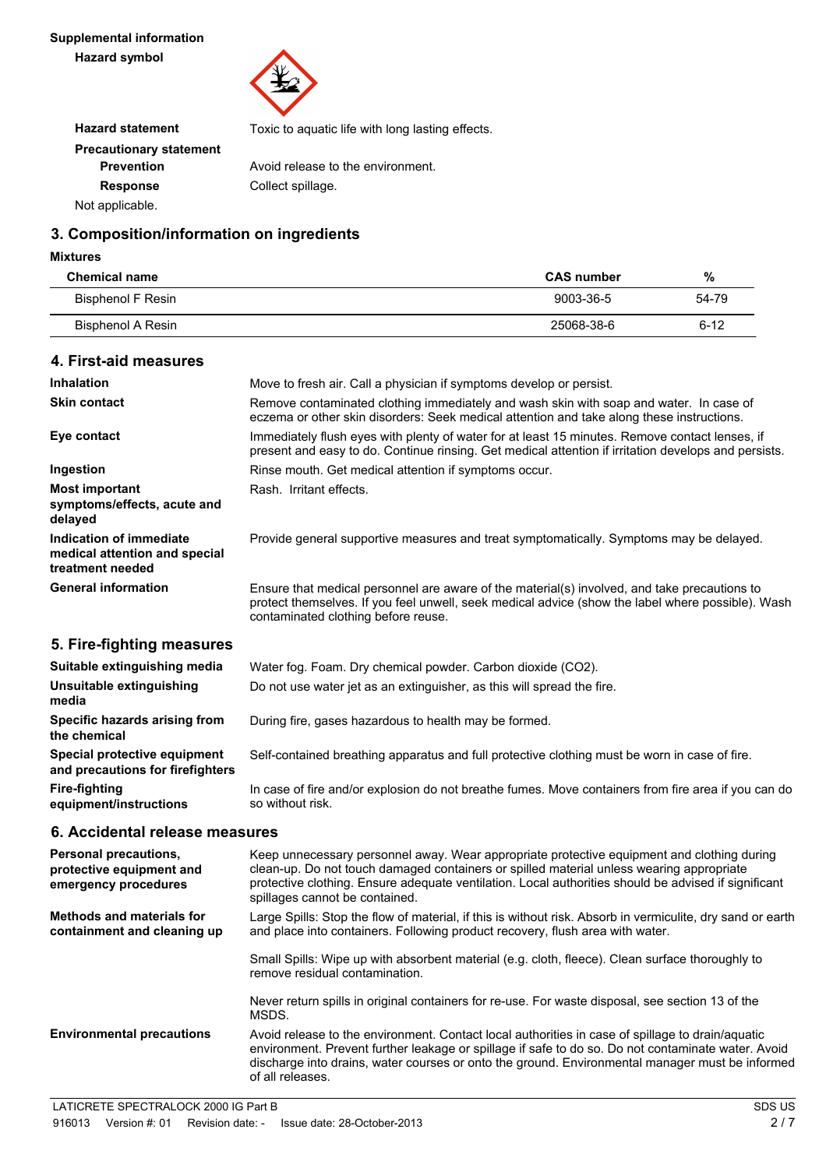

| <b>Hazard statement</b>        | Toxic to aquatic life with long lasting effects. |
|--------------------------------|--------------------------------------------------|
| <b>Precautionary statement</b> |                                                  |
| <b>Prevention</b>              | Avoid release to the environment.                |
| <b>Response</b>                | Collect spillage.                                |
| Not applicable.                |                                                  |

# **3. Composition/information on ingredients**

#### **Mixtures**

| <b>Chemical name</b> | <b>CAS number</b> | %        |
|----------------------|-------------------|----------|
| Bisphenol F Resin    | 9003-36-5         | 54-79    |
| Bisphenol A Resin    | 25068-38-6        | $6 - 12$ |

## **4. First-aid measures**

| <b>Inhalation</b>                                                            | Move to fresh air. Call a physician if symptoms develop or persist.                                                                                                                                                                                                                                                              |  |
|------------------------------------------------------------------------------|----------------------------------------------------------------------------------------------------------------------------------------------------------------------------------------------------------------------------------------------------------------------------------------------------------------------------------|--|
| <b>Skin contact</b>                                                          | Remove contaminated clothing immediately and wash skin with soap and water. In case of<br>eczema or other skin disorders: Seek medical attention and take along these instructions.                                                                                                                                              |  |
| Eye contact                                                                  | Immediately flush eyes with plenty of water for at least 15 minutes. Remove contact lenses, if<br>present and easy to do. Continue rinsing. Get medical attention if irritation develops and persists.                                                                                                                           |  |
| Ingestion                                                                    | Rinse mouth. Get medical attention if symptoms occur.                                                                                                                                                                                                                                                                            |  |
| <b>Most important</b><br>symptoms/effects, acute and<br>delayed              | Rash. Irritant effects.                                                                                                                                                                                                                                                                                                          |  |
| Indication of immediate<br>medical attention and special<br>treatment needed | Provide general supportive measures and treat symptomatically. Symptoms may be delayed.                                                                                                                                                                                                                                          |  |
| <b>General information</b>                                                   | Ensure that medical personnel are aware of the material(s) involved, and take precautions to<br>protect themselves. If you feel unwell, seek medical advice (show the label where possible). Wash<br>contaminated clothing before reuse.                                                                                         |  |
| 5. Fire-fighting measures                                                    |                                                                                                                                                                                                                                                                                                                                  |  |
| Suitable extinguishing media                                                 | Water fog. Foam. Dry chemical powder. Carbon dioxide (CO2).                                                                                                                                                                                                                                                                      |  |
| Unsuitable extinguishing<br>media                                            | Do not use water jet as an extinguisher, as this will spread the fire.                                                                                                                                                                                                                                                           |  |
| Specific hazards arising from<br>the chemical                                | During fire, gases hazardous to health may be formed.                                                                                                                                                                                                                                                                            |  |
| Special protective equipment<br>and precautions for firefighters             | Self-contained breathing apparatus and full protective clothing must be worn in case of fire.                                                                                                                                                                                                                                    |  |
| <b>Fire-fighting</b><br>equipment/instructions                               | In case of fire and/or explosion do not breathe fumes. Move containers from fire area if you can do<br>so without risk.                                                                                                                                                                                                          |  |
| 6. Accidental release measures                                               |                                                                                                                                                                                                                                                                                                                                  |  |
| Personal precautions,<br>protective equipment and<br>emergency procedures    | Keep unnecessary personnel away. Wear appropriate protective equipment and clothing during<br>clean-up. Do not touch damaged containers or spilled material unless wearing appropriate<br>protective clothing. Ensure adequate ventilation. Local authorities should be advised if significant<br>spillages cannot be contained. |  |
| <b>Methods and materials for</b><br>containment and cleaning up              | Large Spills: Stop the flow of material, if this is without risk. Absorb in vermiculite, dry sand or earth<br>and place into containers. Following product recovery, flush area with water.                                                                                                                                      |  |
|                                                                              |                                                                                                                                                                                                                                                                                                                                  |  |

Small Spills: Wipe up with absorbent material (e.g. cloth, fleece). Clean surface thoroughly to remove residual contamination.

Never return spills in original containers for re-use. For waste disposal, see section 13 of the MSDS.

**Environmental precautions** Avoid release to the environment. Contact local authorities in case of spillage to drain/aquatic environment. Prevent further leakage or spillage if safe to do so. Do not contaminate water. Avoid discharge into drains, water courses or onto the ground. Environmental manager must be informed of all releases.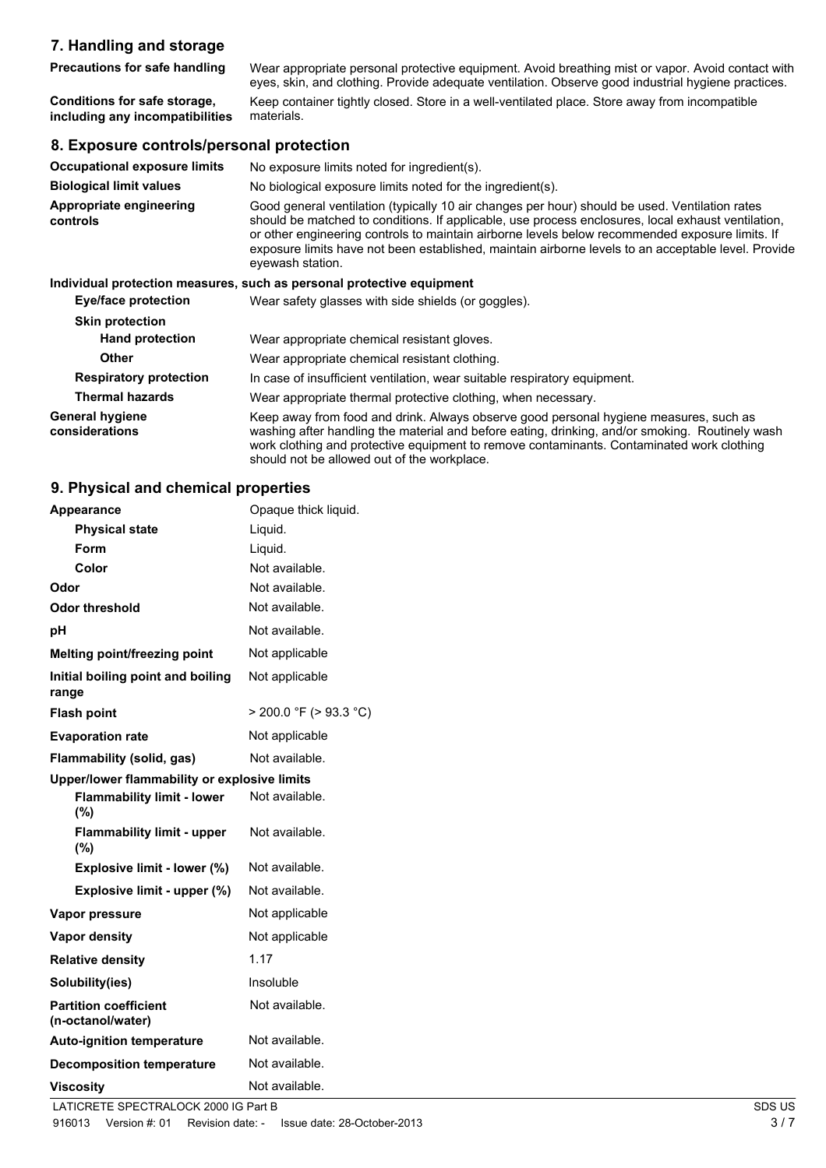# **7. Handling and storage**

**Precautions for safe handling** Wear appropriate personal protective equipment. Avoid breathing mist or vapor. Avoid contact with eyes, skin, and clothing. Provide adequate ventilation. Observe good industrial hygiene practices. **Conditions for safe storage, including any incompatibilities** Keep container tightly closed. Store in a well-ventilated place. Store away from incompatible materials.

#### **8. Exposure controls/personal protection**

| <b>Occupational exposure limits</b>      | No exposure limits noted for ingredient(s).                                                                                                                                                                                                                                                                                                                                                                                        |  |  |
|------------------------------------------|------------------------------------------------------------------------------------------------------------------------------------------------------------------------------------------------------------------------------------------------------------------------------------------------------------------------------------------------------------------------------------------------------------------------------------|--|--|
| <b>Biological limit values</b>           | No biological exposure limits noted for the ingredient(s).                                                                                                                                                                                                                                                                                                                                                                         |  |  |
| Appropriate engineering<br>controls      | Good general ventilation (typically 10 air changes per hour) should be used. Ventilation rates<br>should be matched to conditions. If applicable, use process enclosures, local exhaust ventilation,<br>or other engineering controls to maintain airborne levels below recommended exposure limits. If<br>exposure limits have not been established, maintain airborne levels to an acceptable level. Provide<br>eyewash station. |  |  |
|                                          | Individual protection measures, such as personal protective equipment                                                                                                                                                                                                                                                                                                                                                              |  |  |
| Eye/face protection                      | Wear safety glasses with side shields (or goggles).                                                                                                                                                                                                                                                                                                                                                                                |  |  |
| <b>Skin protection</b>                   |                                                                                                                                                                                                                                                                                                                                                                                                                                    |  |  |
| <b>Hand protection</b>                   | Wear appropriate chemical resistant gloves.                                                                                                                                                                                                                                                                                                                                                                                        |  |  |
| <b>Other</b>                             | Wear appropriate chemical resistant clothing.                                                                                                                                                                                                                                                                                                                                                                                      |  |  |
| <b>Respiratory protection</b>            | In case of insufficient ventilation, wear suitable respiratory equipment.                                                                                                                                                                                                                                                                                                                                                          |  |  |
| <b>Thermal hazards</b>                   | Wear appropriate thermal protective clothing, when necessary.                                                                                                                                                                                                                                                                                                                                                                      |  |  |
| <b>General hygiene</b><br>considerations | Keep away from food and drink. Always observe good personal hygiene measures, such as<br>washing after handling the material and before eating, drinking, and/or smoking. Routinely wash<br>work clothing and protective equipment to remove contaminants. Contaminated work clothing<br>should not be allowed out of the workplace.                                                                                               |  |  |

#### **9. Physical and chemical properties**

| <b>Appearance</b>                                 | Opaque thick liquid.        |        |  |  |
|---------------------------------------------------|-----------------------------|--------|--|--|
| <b>Physical state</b>                             | Liquid.                     |        |  |  |
| Form                                              | Liquid.                     |        |  |  |
| Color                                             | Not available.              |        |  |  |
| Odor                                              | Not available.              |        |  |  |
| <b>Odor threshold</b>                             | Not available.              |        |  |  |
| рH                                                | Not available.              |        |  |  |
| Melting point/freezing point                      | Not applicable              |        |  |  |
| Initial boiling point and boiling<br>range        | Not applicable              |        |  |  |
| <b>Flash point</b>                                | $>$ 200.0 °F ( $>$ 93.3 °C) |        |  |  |
| <b>Evaporation rate</b>                           | Not applicable              |        |  |  |
| Flammability (solid, gas)                         | Not available.              |        |  |  |
| Upper/lower flammability or explosive limits      |                             |        |  |  |
| <b>Flammability limit - lower</b><br>$(\%)$       | Not available.              |        |  |  |
| <b>Flammability limit - upper</b><br>(%)          | Not available.              |        |  |  |
| Explosive limit - lower (%)                       | Not available.              |        |  |  |
| Explosive limit - upper (%)                       | Not available.              |        |  |  |
| Vapor pressure                                    | Not applicable              |        |  |  |
| <b>Vapor density</b>                              | Not applicable              |        |  |  |
| <b>Relative density</b>                           | 1.17                        |        |  |  |
| Solubility(ies)                                   | Insoluble                   |        |  |  |
| <b>Partition coefficient</b><br>(n-octanol/water) | Not available.              |        |  |  |
| <b>Auto-ignition temperature</b>                  | Not available.              |        |  |  |
| <b>Decomposition temperature</b>                  | Not available.              |        |  |  |
| <b>Viscosity</b>                                  | Not available.              |        |  |  |
| LATICRETE SPECTRALOCK 2000 IG Part B              |                             | SDS US |  |  |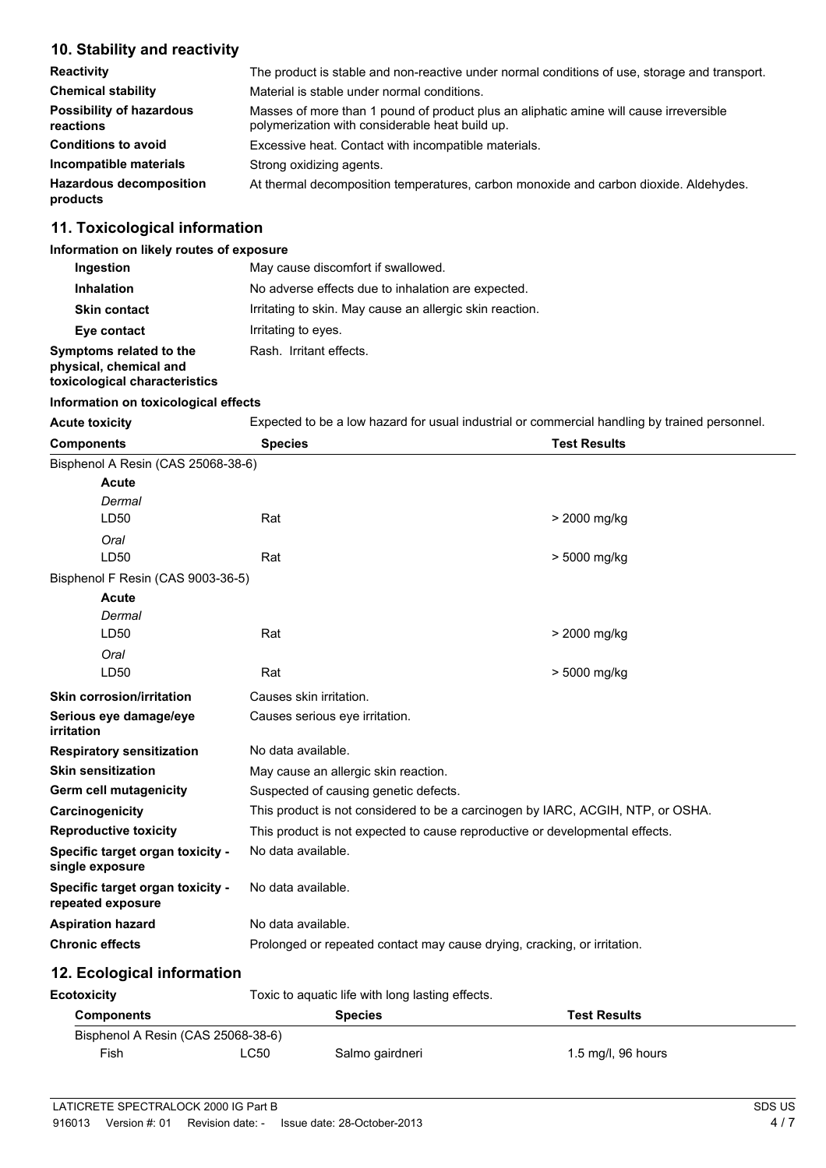# **10. Stability and reactivity**

| <b>Reactivity</b>                            | The product is stable and non-reactive under normal conditions of use, storage and transport.                                             |  |
|----------------------------------------------|-------------------------------------------------------------------------------------------------------------------------------------------|--|
| <b>Chemical stability</b>                    | Material is stable under normal conditions.                                                                                               |  |
| <b>Possibility of hazardous</b><br>reactions | Masses of more than 1 pound of product plus an aliphatic amine will cause irreversible<br>polymerization with considerable heat build up. |  |
| <b>Conditions to avoid</b>                   | Excessive heat. Contact with incompatible materials.                                                                                      |  |
| Incompatible materials                       | Strong oxidizing agents.                                                                                                                  |  |
| <b>Hazardous decomposition</b><br>products   | At thermal decomposition temperatures, carbon monoxide and carbon dioxide. Aldehydes.                                                     |  |

# **11. Toxicological information**

#### **Information on likely routes of exposure**

| Ingestion                                                                          | May cause discomfort if swallowed.                       |
|------------------------------------------------------------------------------------|----------------------------------------------------------|
| <b>Inhalation</b>                                                                  | No adverse effects due to inhalation are expected.       |
| <b>Skin contact</b>                                                                | Irritating to skin. May cause an allergic skin reaction. |
| Eye contact                                                                        | Irritating to eyes.                                      |
| Symptoms related to the<br>physical, chemical and<br>toxicological characteristics | Rash. Irritant effects.                                  |

### **Information on toxicological effects**

Acute toxicity **Expected to be a low hazard for usual industrial or commercial handling by trained personnel.** 

| <b>Components</b>                                     | <b>Species</b>                                                                  | <b>Test Results</b> |  |  |
|-------------------------------------------------------|---------------------------------------------------------------------------------|---------------------|--|--|
| Bisphenol A Resin (CAS 25068-38-6)                    |                                                                                 |                     |  |  |
| <b>Acute</b>                                          |                                                                                 |                     |  |  |
| Dermal                                                |                                                                                 |                     |  |  |
| LD50                                                  | Rat                                                                             | > 2000 mg/kg        |  |  |
| Oral                                                  |                                                                                 |                     |  |  |
| LD50                                                  | Rat                                                                             | > 5000 mg/kg        |  |  |
| Bisphenol F Resin (CAS 9003-36-5)                     |                                                                                 |                     |  |  |
| Acute                                                 |                                                                                 |                     |  |  |
| Dermal                                                |                                                                                 |                     |  |  |
| LD50                                                  | Rat                                                                             | > 2000 mg/kg        |  |  |
| Oral<br>LD50                                          | Rat                                                                             | > 5000 mg/kg        |  |  |
|                                                       |                                                                                 |                     |  |  |
| <b>Skin corrosion/irritation</b>                      | Causes skin irritation.                                                         |                     |  |  |
| Serious eye damage/eye<br>irritation                  | Causes serious eye irritation.                                                  |                     |  |  |
| <b>Respiratory sensitization</b>                      | No data available.                                                              |                     |  |  |
| <b>Skin sensitization</b>                             | May cause an allergic skin reaction.                                            |                     |  |  |
| Germ cell mutagenicity                                | Suspected of causing genetic defects.                                           |                     |  |  |
| Carcinogenicity                                       | This product is not considered to be a carcinogen by IARC, ACGIH, NTP, or OSHA. |                     |  |  |
| <b>Reproductive toxicity</b>                          | This product is not expected to cause reproductive or developmental effects.    |                     |  |  |
| Specific target organ toxicity -<br>single exposure   | No data available.                                                              |                     |  |  |
| Specific target organ toxicity -<br>repeated exposure | No data available.                                                              |                     |  |  |
| <b>Aspiration hazard</b>                              | No data available.                                                              |                     |  |  |
| <b>Chronic effects</b>                                | Prolonged or repeated contact may cause drying, cracking, or irritation.        |                     |  |  |
| 12. Ecological information                            |                                                                                 |                     |  |  |
| <b>Ecotoxicity</b>                                    | Toxic to aquatic life with long lasting effects.                                |                     |  |  |
|                                                       |                                                                                 |                     |  |  |

| <b>Components</b>                  |      | <b>Species</b>  | <b>Test Results</b> |
|------------------------------------|------|-----------------|---------------------|
| Bisphenol A Resin (CAS 25068-38-6) |      |                 |                     |
| Fish                               | ∟C50 | Salmo gairdneri | 1.5 mg/l, 96 hours  |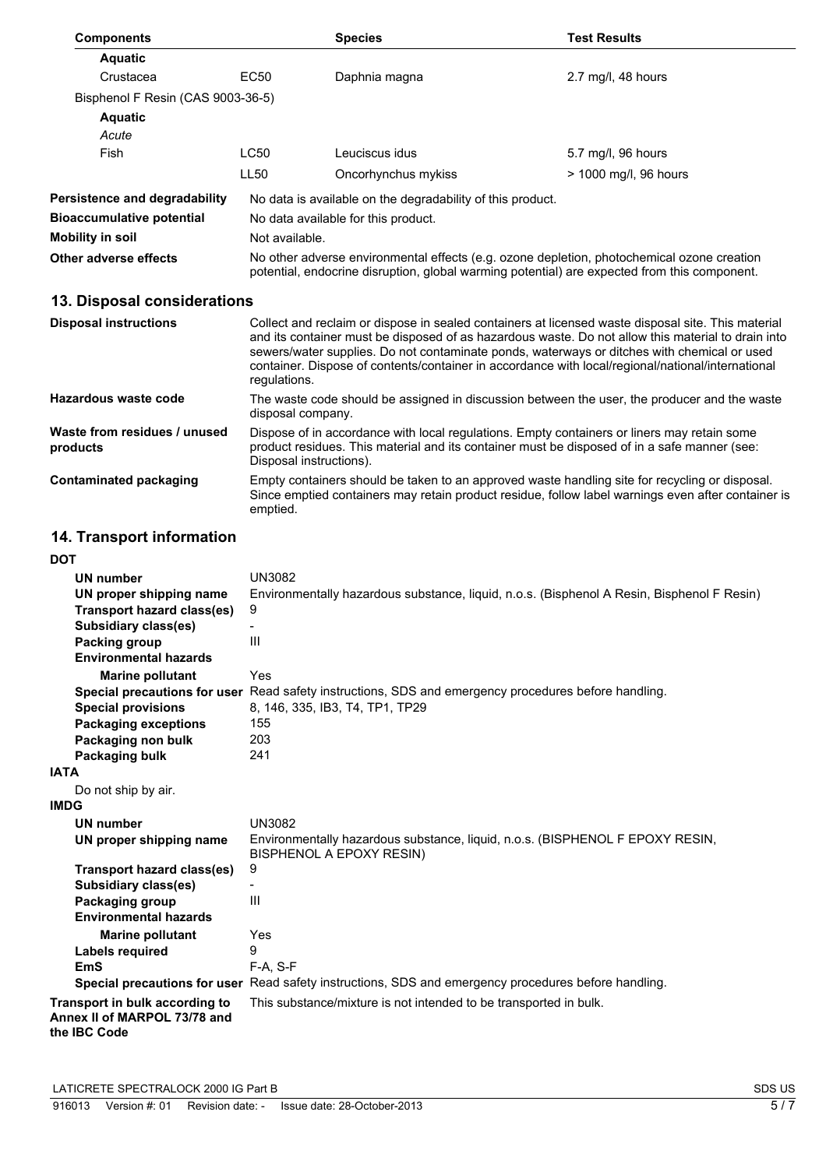| <b>Components</b>                    |                  | <b>Species</b>                                                                                                                                                                             | <b>Test Results</b>   |  |
|--------------------------------------|------------------|--------------------------------------------------------------------------------------------------------------------------------------------------------------------------------------------|-----------------------|--|
| <b>Aquatic</b>                       |                  |                                                                                                                                                                                            |                       |  |
| Crustacea                            | EC50             | Daphnia magna                                                                                                                                                                              | 2.7 mg/l, 48 hours    |  |
| Bisphenol F Resin (CAS 9003-36-5)    |                  |                                                                                                                                                                                            |                       |  |
| <b>Aquatic</b>                       |                  |                                                                                                                                                                                            |                       |  |
| Acute                                |                  |                                                                                                                                                                                            |                       |  |
| Fish                                 | LC50             | Leuciscus idus                                                                                                                                                                             | 5.7 mg/l, 96 hours    |  |
|                                      | LL <sub>50</sub> | Oncorhynchus mykiss                                                                                                                                                                        | > 1000 mg/l, 96 hours |  |
| <b>Persistence and degradability</b> |                  | No data is available on the degradability of this product.                                                                                                                                 |                       |  |
| <b>Bioaccumulative potential</b>     |                  | No data available for this product.                                                                                                                                                        |                       |  |
| Mobility in soil                     |                  | Not available.                                                                                                                                                                             |                       |  |
| Other adverse effects                |                  | No other adverse environmental effects (e.g. ozone depletion, photochemical ozone creation<br>potential, endocrine disruption, global warming potential) are expected from this component. |                       |  |

# **13. Disposal considerations**

| <b>Disposal instructions</b>             | Collect and reclaim or dispose in sealed containers at licensed waste disposal site. This material<br>and its container must be disposed of as hazardous waste. Do not allow this material to drain into<br>sewers/water supplies. Do not contaminate ponds, waterways or ditches with chemical or used<br>container. Dispose of contents/container in accordance with local/regional/national/international<br>regulations. |
|------------------------------------------|------------------------------------------------------------------------------------------------------------------------------------------------------------------------------------------------------------------------------------------------------------------------------------------------------------------------------------------------------------------------------------------------------------------------------|
| Hazardous waste code                     | The waste code should be assigned in discussion between the user, the producer and the waste<br>disposal company.                                                                                                                                                                                                                                                                                                            |
| Waste from residues / unused<br>products | Dispose of in accordance with local regulations. Empty containers or liners may retain some<br>product residues. This material and its container must be disposed of in a safe manner (see:<br>Disposal instructions).                                                                                                                                                                                                       |
| <b>Contaminated packaging</b>            | Empty containers should be taken to an approved waste handling site for recycling or disposal.<br>Since emptied containers may retain product residue, follow label warnings even after container is<br>emptied.                                                                                                                                                                                                             |

# **14. Transport information**

| <b>DOT</b>                                                                     |                                                                                                           |
|--------------------------------------------------------------------------------|-----------------------------------------------------------------------------------------------------------|
| UN number                                                                      | <b>UN3082</b>                                                                                             |
| UN proper shipping name                                                        | Environmentally hazardous substance, liquid, n.o.s. (Bisphenol A Resin, Bisphenol F Resin)                |
| <b>Transport hazard class(es)</b>                                              | 9                                                                                                         |
| Subsidiary class(es)                                                           | $\overline{\phantom{a}}$                                                                                  |
| Packing group                                                                  | III                                                                                                       |
| <b>Environmental hazards</b>                                                   |                                                                                                           |
| <b>Marine pollutant</b>                                                        | Yes                                                                                                       |
|                                                                                | Special precautions for user Read safety instructions, SDS and emergency procedures before handling.      |
| <b>Special provisions</b>                                                      | 8, 146, 335, IB3, T4, TP1, TP29                                                                           |
| <b>Packaging exceptions</b>                                                    | 155                                                                                                       |
| Packaging non bulk                                                             | 203                                                                                                       |
| Packaging bulk                                                                 | 241                                                                                                       |
| <b>IATA</b>                                                                    |                                                                                                           |
| Do not ship by air.                                                            |                                                                                                           |
| <b>IMDG</b>                                                                    |                                                                                                           |
| <b>UN number</b>                                                               | <b>UN3082</b>                                                                                             |
| UN proper shipping name                                                        | Environmentally hazardous substance, liquid, n.o.s. (BISPHENOL F EPOXY RESIN,<br>BISPHENOL A EPOXY RESIN) |
| Transport hazard class(es)                                                     | 9                                                                                                         |
| Subsidiary class(es)                                                           |                                                                                                           |
| Packaging group                                                                | $\mathbf{III}$                                                                                            |
| <b>Environmental hazards</b>                                                   |                                                                                                           |
| <b>Marine pollutant</b>                                                        | Yes                                                                                                       |
| Labels required                                                                | 9                                                                                                         |
| <b>EmS</b>                                                                     | F-A, S-F                                                                                                  |
|                                                                                | Special precautions for user Read safety instructions, SDS and emergency procedures before handling.      |
| Transport in bulk according to<br>Annex II of MARPOL 73/78 and<br>the IBC Code | This substance/mixture is not intended to be transported in bulk.                                         |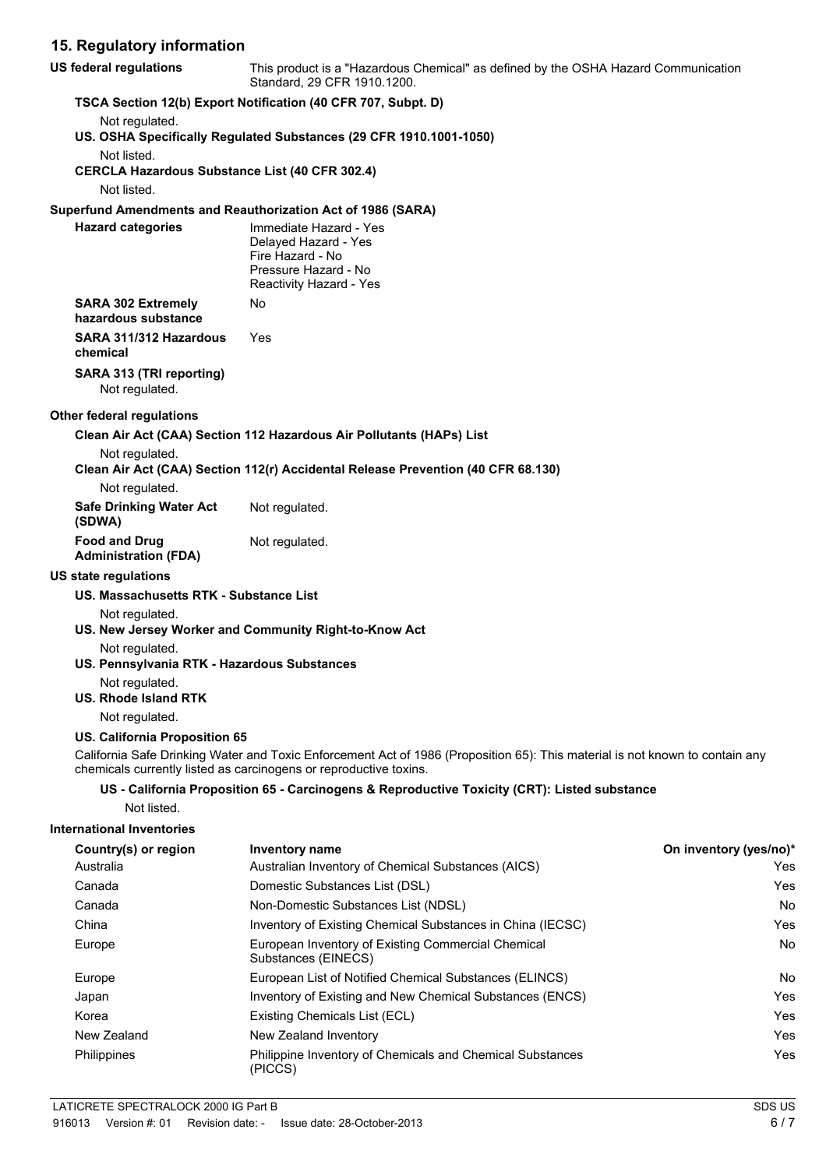# **15. Regulatory information**

| <b>US federal regulations</b>                                        | This product is a "Hazardous Chemical" as defined by the OSHA Hazard Communication<br>Standard, 29 CFR 1910.1200.                                                                                 |                        |  |
|----------------------------------------------------------------------|---------------------------------------------------------------------------------------------------------------------------------------------------------------------------------------------------|------------------------|--|
|                                                                      | TSCA Section 12(b) Export Notification (40 CFR 707, Subpt. D)                                                                                                                                     |                        |  |
| Not regulated.                                                       | US. OSHA Specifically Regulated Substances (29 CFR 1910.1001-1050)                                                                                                                                |                        |  |
| Not listed.<br><b>CERCLA Hazardous Substance List (40 CFR 302.4)</b> |                                                                                                                                                                                                   |                        |  |
| Not listed.                                                          |                                                                                                                                                                                                   |                        |  |
|                                                                      | Superfund Amendments and Reauthorization Act of 1986 (SARA)                                                                                                                                       |                        |  |
| <b>Hazard categories</b>                                             | Immediate Hazard - Yes<br>Delayed Hazard - Yes<br>Fire Hazard - No<br>Pressure Hazard - No<br>Reactivity Hazard - Yes                                                                             |                        |  |
| <b>SARA 302 Extremely</b><br>hazardous substance                     | No                                                                                                                                                                                                |                        |  |
| SARA 311/312 Hazardous<br>chemical                                   | <b>Yes</b>                                                                                                                                                                                        |                        |  |
| SARA 313 (TRI reporting)<br>Not regulated.                           |                                                                                                                                                                                                   |                        |  |
| <b>Other federal regulations</b>                                     |                                                                                                                                                                                                   |                        |  |
|                                                                      | Clean Air Act (CAA) Section 112 Hazardous Air Pollutants (HAPs) List                                                                                                                              |                        |  |
| Not regulated.                                                       | Clean Air Act (CAA) Section 112(r) Accidental Release Prevention (40 CFR 68.130)                                                                                                                  |                        |  |
| Not regulated.                                                       |                                                                                                                                                                                                   |                        |  |
| <b>Safe Drinking Water Act</b><br>(SDWA)                             | Not regulated.                                                                                                                                                                                    |                        |  |
| <b>Food and Drug</b><br><b>Administration (FDA)</b>                  | Not regulated.                                                                                                                                                                                    |                        |  |
| <b>US state regulations</b>                                          |                                                                                                                                                                                                   |                        |  |
| US. Massachusetts RTK - Substance List                               |                                                                                                                                                                                                   |                        |  |
| Not regulated.                                                       | US. New Jersey Worker and Community Right-to-Know Act                                                                                                                                             |                        |  |
| Not regulated.<br>US. Pennsylvania RTK - Hazardous Substances        |                                                                                                                                                                                                   |                        |  |
| Not regulated.<br><b>US. Rhode Island RTK</b>                        |                                                                                                                                                                                                   |                        |  |
| Not regulated.                                                       |                                                                                                                                                                                                   |                        |  |
| <b>US. California Proposition 65</b>                                 |                                                                                                                                                                                                   |                        |  |
|                                                                      | California Safe Drinking Water and Toxic Enforcement Act of 1986 (Proposition 65): This material is not known to contain any<br>chemicals currently listed as carcinogens or reproductive toxins. |                        |  |
|                                                                      | US - California Proposition 65 - Carcinogens & Reproductive Toxicity (CRT): Listed substance                                                                                                      |                        |  |
| Not listed.                                                          |                                                                                                                                                                                                   |                        |  |
| <b>International Inventories</b>                                     |                                                                                                                                                                                                   |                        |  |
| Country(s) or region                                                 | <b>Inventory name</b>                                                                                                                                                                             | On inventory (yes/no)* |  |
| Australia                                                            | Australian Inventory of Chemical Substances (AICS)                                                                                                                                                | Yes                    |  |
| Canada                                                               | Domestic Substances List (DSL)                                                                                                                                                                    | Yes                    |  |
| Canada                                                               | Non-Domestic Substances List (NDSL)                                                                                                                                                               | No                     |  |
| China                                                                | Inventory of Existing Chemical Substances in China (IECSC)                                                                                                                                        | Yes                    |  |
| Europe                                                               | European Inventory of Existing Commercial Chemical<br>Substances (EINECS)                                                                                                                         | No                     |  |
| Europe                                                               | European List of Notified Chemical Substances (ELINCS)                                                                                                                                            | No                     |  |
| Japan                                                                | Inventory of Existing and New Chemical Substances (ENCS)                                                                                                                                          | Yes                    |  |

Korea **Existing Chemicals List (ECL)** Korea **EXISTE** New Zealand New Zealand Inventory **New Yes** Yes Philippine Inventory of Chemicals and Chemical Substances Philippines Yes

(PICCS)